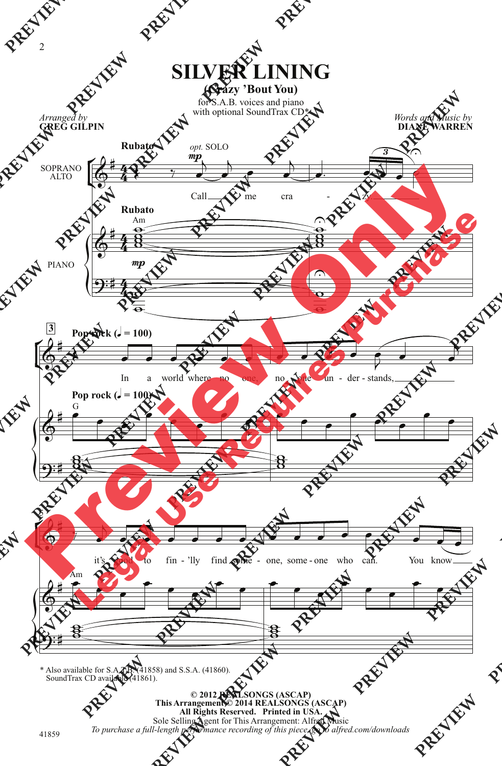

## **(Crazy 'Bout You)**

for S.A.B. voices and piano with optional SoundTrax CD\*

*Words and Music by* **DIANE WARREN**



\* Also available for S.A.T.B. (41858) and S.S.A. (41860). SoundTrax CD available (41861).

*Arranged by*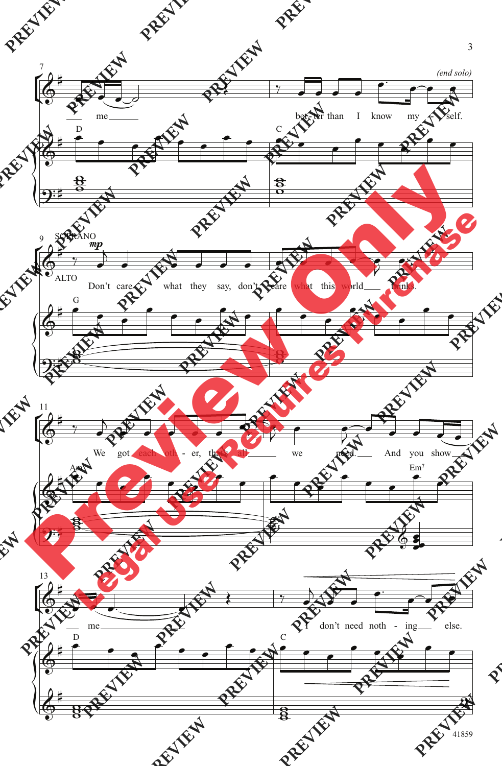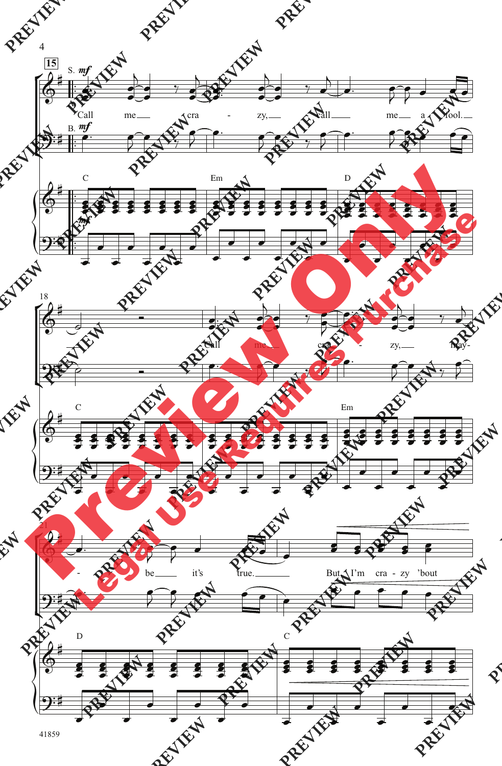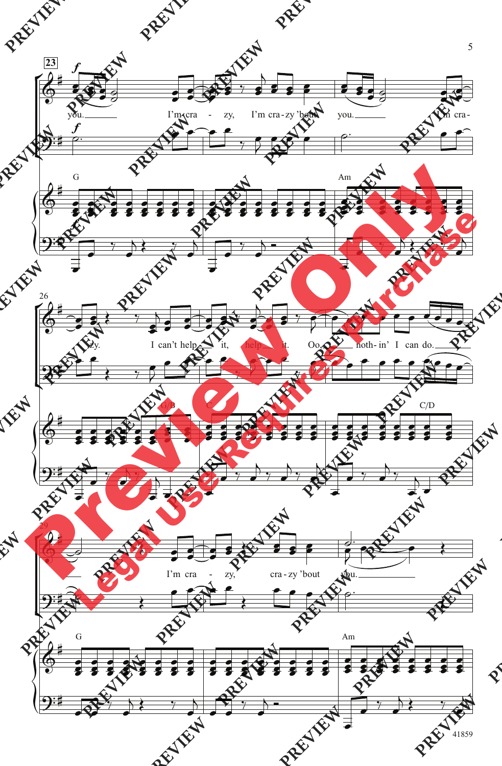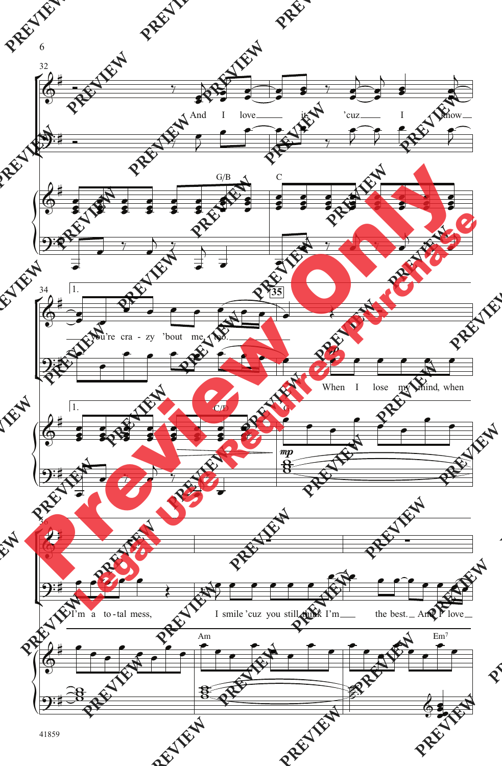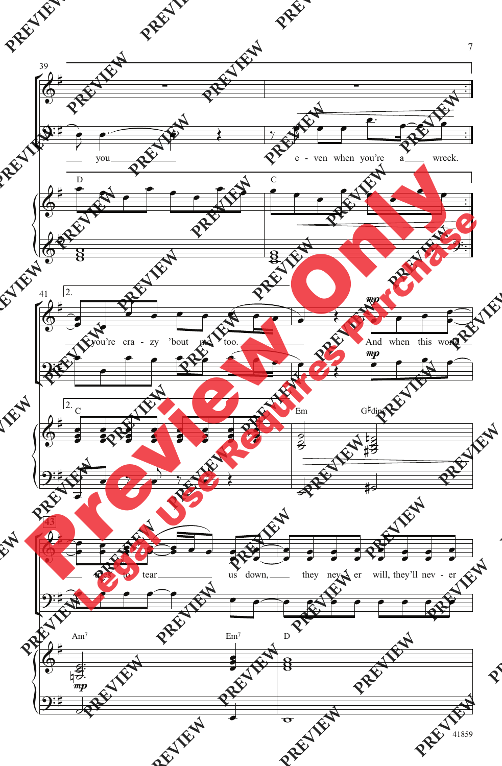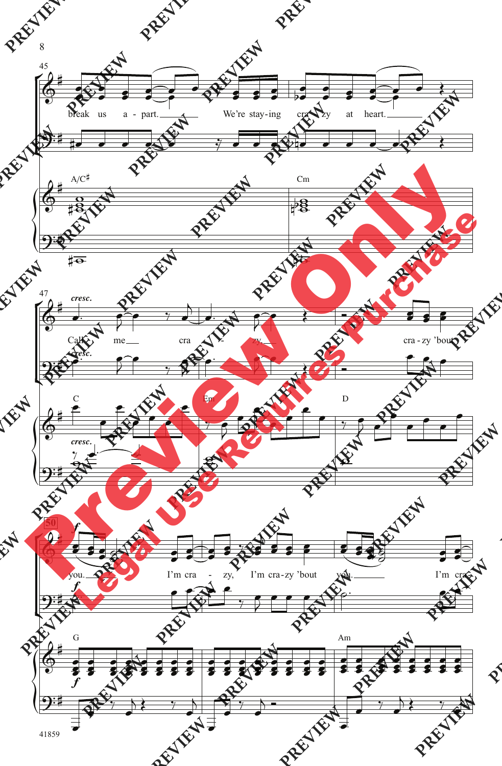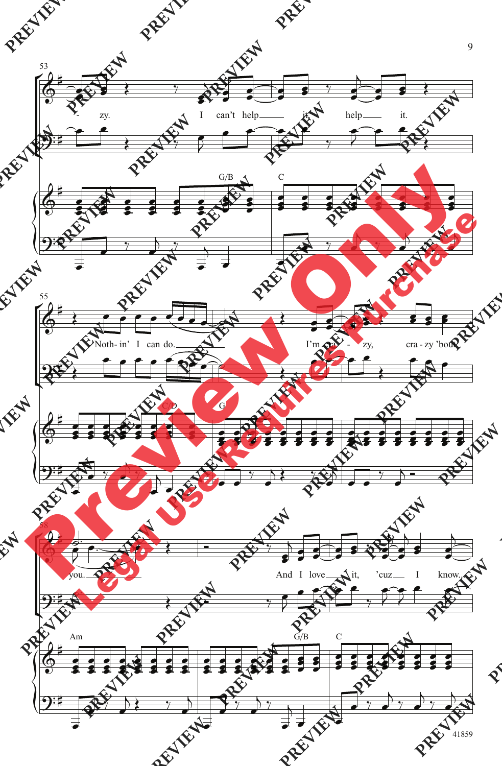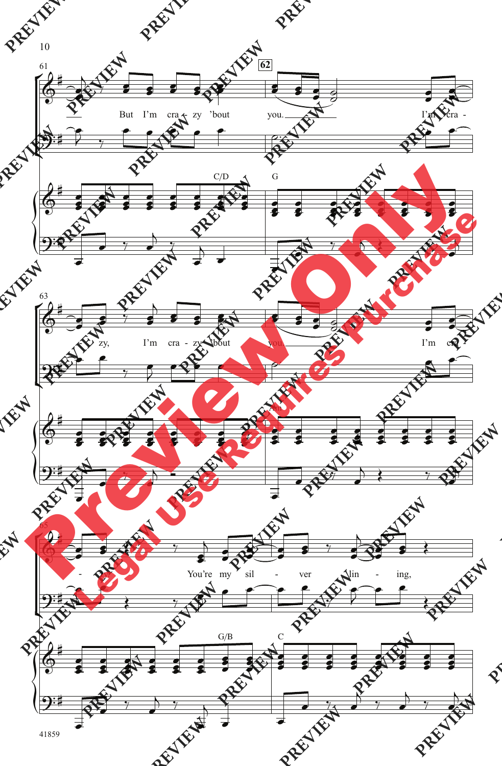